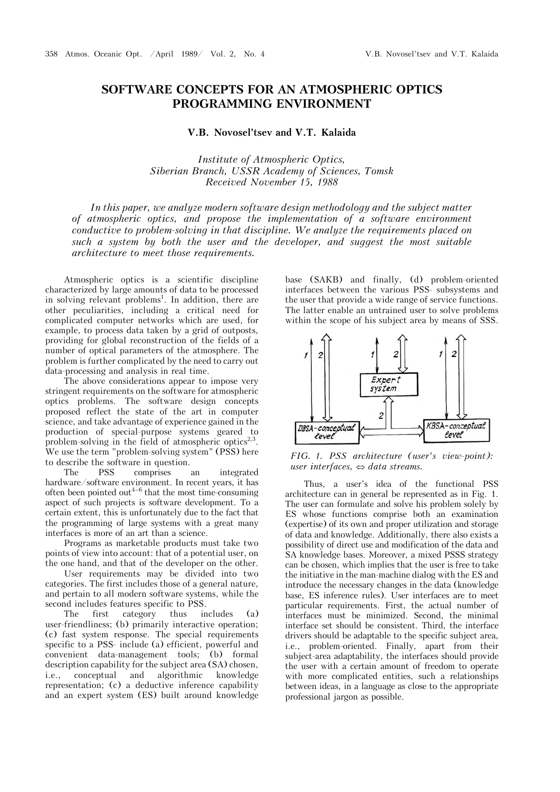## **SOFTWARE CONCEPTS FOR AN ATMOSPHERIC OPTICS PROGRAMMING ENVIRONMENT**

## **V.B. Novosel'tsev and V.T. Kalaida**

*Institute of Atmospheric Optics, Siberian Branch, USSR Academy of Sciences, Tomsk Received November 15, 1988* 

*In this paper, we analyze modern software design methodology and the subject matter of atmospheric optics, and propose the implementation of a software environment conductive to problem-solving in that discipline. We analyze the requirements placed on such a system by both the user and the developer, and suggest the most suitable architecture to meet those requirements.*

Atmospheric optics is a scientific discipline characterized by large amounts of data to be processed in solving relevant problems<sup>1</sup>. In addition, there are other peculiarities, including a critical need for complicated computer networks which are used, for example, to process data taken by a grid of outposts, providing for global reconstruction of the fields of a number of optical parameters of the atmosphere. The problem is further complicated by the need to carry out data-processing and analysis in real time.

The above considerations appear to impose very stringent requirements on the software for atmospheric optics problems. The software design concepts proposed reflect the state of the art in computer science, and take advantage of experience gained in the production of special-purpose systems geared to problem-solving in the field of atmospheric optics<sup>2,3</sup>. We use the term "problem-solving system" (PSS) here to describe the software in question.

The PSS comprises an integrated hardware/software environment. In recent years, it has often been pointed out<sup> $4-6$ </sup> that the most time-consuming aspect of such projects is software development. To a certain extent, this is unfortunately due to the fact that the programming of large systems with a great many interfaces is more of an art than a science.

Programs as marketable products must take two points of view into account: that of a potential user, on the one hand, and that of the developer on the other.

User requirements may be divided into two categories. The first includes those of a general nature, and pertain to all modern software systems, while the second includes features specific to PSS.

The first category thus includes (a) user-friendliness; (b) primarily interactive operation; (c) fast system response. The special requirements specific to a PSS- include (a) efficient, powerful and convenient data-management tools; (b) formal description capability for the subject area (SA) chosen, i.e., conceptual and algorithmic knowledge representation; (c) a deductive inference capability and an expert system (ES) built around knowledge

base (SAKB) and finally, (d) problem-oriented interfaces between the various PSS- subsystems and the user that provide a wide range of service functions. The latter enable an untrained user to solve problems within the scope of his subject area by means of SSS.



*FIG. 1. PSS architecture (user's view-point): user interfaces,*  $\Leftrightarrow$  *data streams.* 

Thus, a user's idea of the functional PSS architecture can in general be represented as in Fig. 1. The user can formulate and solve his problem solely by ES whose functions comprise both an examination (expertise) of its own and proper utilization and storage of data and knowledge. Additionally, there also exists a possibility of direct use and modification of the data and SA knowledge bases. Moreover, a mixed PSSS strategy can be chosen, which implies that the user is free to take the initiative in the man-machine dialog with the ES and introduce the necessary changes in the data (knowledge base, ES inference rules). User interfaces are to meet particular requirements. First, the actual number of interfaces must be minimized. Second, the minimal interface set should be consistent. Third, the interface drivers should be adaptable to the specific subject area, i.e., problem-oriented. Finally, apart from their subject-area adaptability, the interfaces should provide the user with a certain amount of freedom to operate with more complicated entities, such a relationships between ideas, in a language as close to the appropriate professional jargon as possible.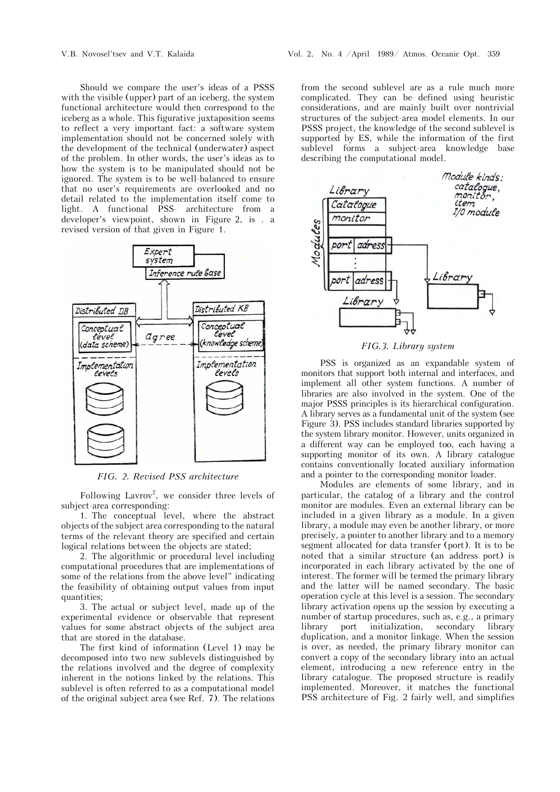Should we compare the user's ideas of a PSSS with the visible (upper) part of an iceberg, the system functional architecture would then correspond to the iceberg as a whole. This figurative juxtaposition seems to reflect a very important fact: a software system implementation should not be concerned solely with the development of the technical (underwater) aspect of the problem. In other words, the user's ideas as to how the system is to be manipulated should not be ignored. The system is to be well-balanced to ensure that no user's requirements are overlooked and no detail related to the implementation itself come to light. A functional PSS- architecture from a developer's viewpoint, shown in Figure 2, is . a revised version of that given in Figure 1.



*FIG. 2. Revised PSS architecture*

Following Lavrov<sup>7</sup>, we consider three levels of subject-area corresponding:

1. The conceptual level, where the abstract objects of the subject area corresponding to the natural terms of the relevant theory are specified and certain logical relations between the objects are stated;

2. The algorithmic or procedural level including computational procedures that are implementations of some of the relations from the above level" indicating the feasibility of obtaining output values from input quantities;

3. The actual or subject level, made up of the experimental evidence or observable that represent values for some abstract objects of the subject area that are stored in the database.

The first kind of information (Level 1) may be decomposed into two new sublevels distinguished by the relations involved and the degree of complexity inherent in the notions linked by the relations. This sublevel is often referred to as a computational model of the original subject area (see Ref. 7). The relations from the second sublevel are as a rule much more complicated. They can be defined using heuristic considerations, and are mainly built over nontrivial structures of the subject-area model elements. In our PSSS project, the knowledge of the second sublevel is supported by ES, while the information of the first sublevel forms a subject-area knowledge base describing the computational model.



## *FIG.3. Library system*

PSS is organized as an expandable system of monitors that support both internal and interfaces, and implement all other system functions. A number of libraries are also involved in the system. One of the major PSSS principles is its hierarchical configuration. A library serves as a fundamental unit of the system (see Figure 3). PSS includes standard libraries supported by the system library monitor. However, units organized in a different way can be employed too, each having a supporting monitor of its own. A library catalogue contains conventionally located auxiliary information and a pointer to the corresponding monitor loader.

Modules are elements of some library, and in particular, the catalog of a library and the control monitor are modules. Even an external library can be included in a given library as a module. In a given library, a module may even be another library, or more precisely, a pointer to another library and to a memory segment allocated for data transfer (port). It is to be noted that a similar structure (an address port) is incorporated in each library activated by the one of interest. The former will be termed the primary library and the latter will be named secondary. The basic operation cycle at this level is a session. The secondary library activation opens up the session by executing a number of startup procedures, such as, e.g., a primary library port initialization, secondary library duplication, and a monitor linkage. When the session is over, as needed, the primary library monitor can convert a copy of the secondary library into an actual element, introducing a new reference entry in the library catalogue. The proposed structure is readily implemented. Moreover, it matches the functional PSS architecture of Fig. 2 fairly well, and simplifies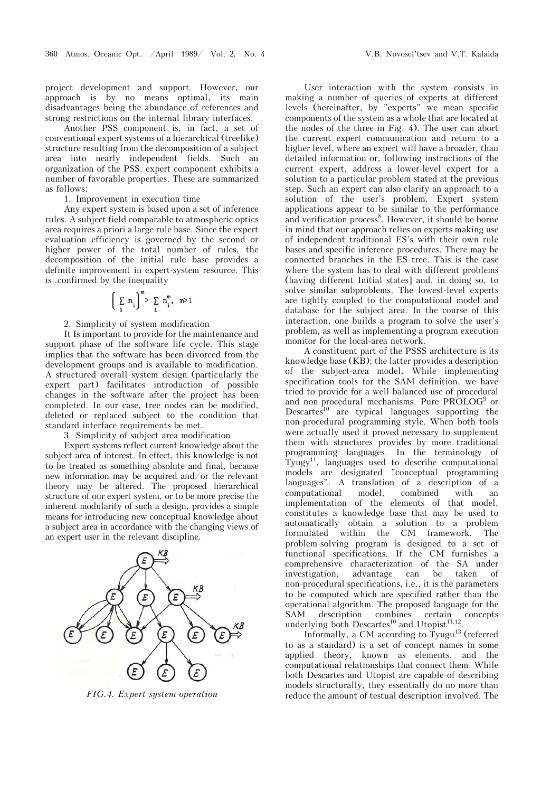project development and support. However, our approach is by no means optimal, its main disadvantages being the abundance of references and strong restrictions on the internal library interfaces.

Another PSS component is, in fact, a set of conventional expert systems of a hierarchical (treelike) structure resulting from the decomposition of a subject area into nearly independent fields. Such an organization of the PSS. expert component exhibits a number of favorable properties. These are summarized as follows:

1. Improvement in execution time

Any expert system is based upon a set of inference rules. A subject field comparable to atmospheric optics area requires a priori a large rule base. Since the expert evaluation efficiency is governed by the second or higher power of the total number of rules, the decomposition of the initial rule base provides a definite improvement in expert-system resource. This is .confirmed by the inequality

$$
\left(\begin{array}{cc} \sum_i n_i\end{array}\right)^m > \sum_i n_i^m, \quad m > 1
$$

2. Simplicity of system modification

It Is important to provide for the maintenance and support phase of the software life cycle. This stage implies that the software has been divorced from the development groups and is available to modification. A structured overall system design (particularly the expert part) facilitates introduction of possible changes in the software after the project has been completed. In our case, tree nodes can be modified, deleted or replaced subject to the condition that standard interface requirements be met.

3. Simplicity of subject area modification

Expert systems reflect current knowledge about the subject area of interest. In effect, this knowledge is not to be treated as something absolute and final, because new information may be acquired and/or the relevant theory may be altered. The proposed hierarchical structure of our expert system, or to be more precise the inherent modularity of such a design, provides a simple means for introducing new conceptual knowledge about a subject area in accordance with the changing views of an expert user in the relevant discipline.



*FIG.4. Expert system operation* 

User interaction with the system consists in making a number of queries of experts at different levels (hereinafter, by "experts" we mean specific components of the system as a whole that are located at the nodes of the three in Fig. 4). The user can abort the current expert communication and return to a higher level, where an expert will have a broader, than detailed information or, following instructions of the current expert, address a lower-level expert for a solution to a particular problem stated at the previous step. Such an expert can also clarify an approach to a solution of the user's problem. Expert system applications appear to be similar to the performance and verification process<sup>8</sup>. However, it should be borne in mind that our approach relies on experts making use of independent traditional ES's with their own rule bases and specific inference procedures. There may be connected branches in the ES tree. This is the case where the system has to deal with different problems (having different Initial states] and, in doing so, to solve similar subproblems. The lowest-level experts are tightly coupled to the computational model and database for the subject area. In the course of this interaction, one builds a program to solve the user's problem, as well as implementing a program execution monitor for the local-area network.

A constituent part of the PSSS architecture is its knowledge base (KB); the latter provides a description of the subject-area model. While implementing specification tools for the SAM definition, we have tried to provide for a well-balanced use of procedural and non-procedural mechanisms. Pure PROLOG<sup>9</sup> or Descartes<sup>10</sup> are typical languages supporting the non-procedural programming style. When both tools were actually used it proved necessary to supplement them with structures provides by more traditional programming languages. In the terminology of Tyugy<sup>11</sup>, languages used to describe computational models are designated "conceptual programming languages". A translation of a description of a computational model, combined with an implementation of the elements of that model, constitutes a knowledge base that may be used to automatically obtain a solution to a problem formulated within the CM framework. The problem-solving program is designed to a set of functional specifications. If the CM furnishes a comprehensive characterization of the SA under investigation, advantage can be taken of non-procedural specifications, i.e., it is the parameters to be computed which are specified rather than the operational algorithm. The proposed language for the SAM description combines certain concepts underlying both Descartes<sup>10</sup> and Utopist<sup>11,12</sup>.

Informally, a CM according to  $Ty$ ugu<sup>13</sup> (referred to as a standard) is a set of concept names in some applied theory, known as elements, and the computational relationships that connect them. While both Descartes and Utopist are capable of describing models structurally, they essentially do no more than reduce the amount of testual description involved. The